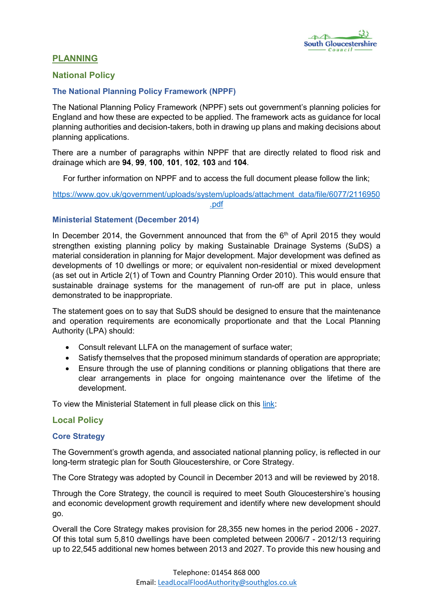

# PLANNING

## National Policy

### The National Planning Policy Framework (NPPF)

The National Planning Policy Framework (NPPF) sets out government's planning policies for England and how these are expected to be applied. The framework acts as guidance for local planning authorities and decision-takers, both in drawing up plans and making decisions about planning applications.

There are a number of paragraphs within NPPF that are directly related to flood risk and drainage which are 94, 99, 100, 101, 102, 103 and 104.

For further information on NPPF and to access the full document please follow the link;

[https://www.gov.uk/government/uploads/system/uploads/attachment\\_data/file/6077/2116950](https://www.gov.uk/government/uploads/system/uploads/attachment_data/file/6077/2116950.pdf) [.pdf](https://www.gov.uk/government/uploads/system/uploads/attachment_data/file/6077/2116950.pdf)

### Ministerial Statement (December 2014)

In December 2014, the Government announced that from the  $6<sup>th</sup>$  of April 2015 they would strengthen existing planning policy by making Sustainable Drainage Systems (SuDS) a material consideration in planning for Major development. Major development was defined as developments of 10 dwellings or more; or equivalent non-residential or mixed development (as set out in Article 2(1) of Town and Country Planning Order 2010). This would ensure that sustainable drainage systems for the management of run-off are put in place, unless demonstrated to be inappropriate.

The statement goes on to say that SuDS should be designed to ensure that the maintenance and operation requirements are economically proportionate and that the Local Planning Authority (LPA) should:

- Consult relevant LLFA on the management of surface water;
- Satisfy themselves that the proposed minimum standards of operation are appropriate;
- Ensure through the use of planning conditions or planning obligations that there are clear arrangements in place for ongoing maintenance over the lifetime of the development.

To view the Ministerial Statement in full please click on this [link](http://www.parliament.uk/documents/commons-vote-office/December 2014/18 December/6. DCLG-sustainable-drainage-systems.pdf):

### Local Policy

### Core Strategy

The Government's growth agenda, and associated national planning policy, is reflected in our long-term strategic plan for South Gloucestershire, or Core Strategy.

The Core Strategy was adopted by Council in December 2013 and will be reviewed by 2018.

Through the Core Strategy, the council is required to meet South Gloucestershire's housing and economic development growth requirement and identify where new development should go.

Overall the Core Strategy makes provision for 28,355 new homes in the period 2006 - 2027. Of this total sum 5,810 dwellings have been completed between 2006/7 - 2012/13 requiring up to 22,545 additional new homes between 2013 and 2027. To provide this new housing and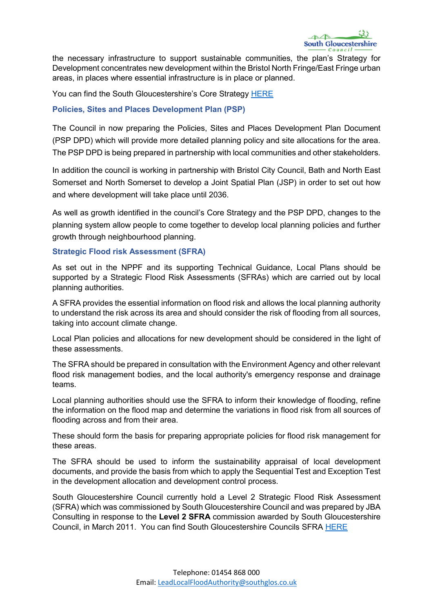the necessary infrastructure to support sustainable communities, the plan's Strategy for Development concentrates new development within the Bristol North Fringe/East Fringe urban areas, in places where essential infrastructure is in place or planned.

You can find the South Gloucestershire's Core Strategy [HERE](http://www.southglos.gov.uk/environment-and-planning/planning/planning-local-plans/core-strategy-2006-2027/)

## Policies, Sites and Places Development Plan (PSP)

The Council in now preparing the Policies, Sites and Places Development Plan Document (PSP DPD) which will provide more detailed planning policy and site allocations for the area. The PSP DPD is being prepared in partnership with local communities and other stakeholders.

In addition the council is working in partnership with Bristol City Council, Bath and North East Somerset and North Somerset to develop a Joint Spatial Plan (JSP) in order to set out how and where development will take place until 2036.

As well as growth identified in the council's Core Strategy and the PSP DPD, changes to the planning system allow people to come together to develop local planning policies and further growth through neighbourhood planning.

### Strategic Flood risk Assessment (SFRA)

As set out in the NPPF and its supporting Technical Guidance, Local Plans should be supported by a Strategic Flood Risk Assessments (SFRAs) which are carried out by local planning authorities.

A SFRA provides the essential information on flood risk and allows the local planning authority to understand the risk across its area and should consider the risk of flooding from all sources, taking into account climate change.

Local Plan policies and allocations for new development should be considered in the light of these assessments.

The SFRA should be prepared in consultation with the Environment Agency and other relevant flood risk management bodies, and the local authority's emergency response and drainage teams.

Local planning authorities should use the SFRA to inform their knowledge of flooding, refine the information on the flood map and determine the variations in flood risk from all sources of flooding across and from their area.

These should form the basis for preparing appropriate policies for flood risk management for these areas.

The SFRA should be used to inform the sustainability appraisal of local development documents, and provide the basis from which to apply the Sequential Test and Exception Test in the development allocation and development control process.

South Gloucestershire Council currently hold a Level 2 Strategic Flood Risk Assessment (SFRA) which was commissioned by South Gloucestershire Council and was prepared by JBA Consulting in response to the Level 2 SFRA commission awarded by South Gloucestershire Council, in March 2011. You can find South Gloucestershire Councils SFRA [HERE](https://www.southglos.gov.uk/documents/pte110277.pdf)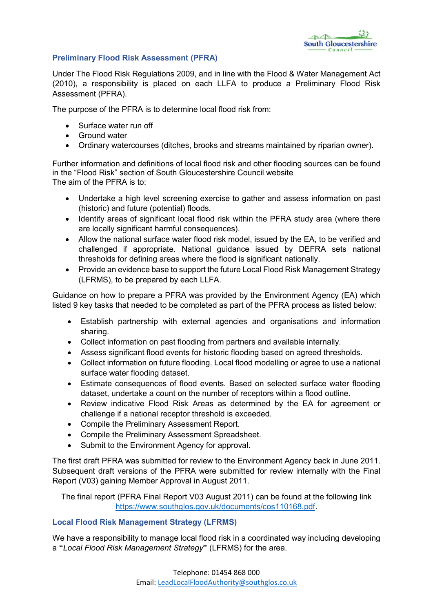

### Preliminary Flood Risk Assessment (PFRA)

Under The Flood Risk Regulations 2009, and in line with the Flood & Water Management Act (2010), a responsibility is placed on each LLFA to produce a Preliminary Flood Risk Assessment (PFRA).

The purpose of the PFRA is to determine local flood risk from:

- Surface water run off
- **•** Ground water
- Ordinary watercourses (ditches, brooks and streams maintained by riparian owner).

Further information and definitions of local flood risk and other flooding sources can be found in the "Flood Risk" section of South Gloucestershire Council website The aim of the PFRA is to:

- Undertake a high level screening exercise to gather and assess information on past (historic) and future (potential) floods.
- Identify areas of significant local flood risk within the PFRA study area (where there are locally significant harmful consequences).
- Allow the national surface water flood risk model, issued by the EA, to be verified and challenged if appropriate. National guidance issued by DEFRA sets national thresholds for defining areas where the flood is significant nationally.
- Provide an evidence base to support the future Local Flood Risk Management Strategy (LFRMS), to be prepared by each LLFA.

Guidance on how to prepare a PFRA was provided by the Environment Agency (EA) which listed 9 key tasks that needed to be completed as part of the PFRA process as listed below:

- Establish partnership with external agencies and organisations and information sharing.
- Collect information on past flooding from partners and available internally.
- Assess significant flood events for historic flooding based on agreed thresholds.
- Collect information on future flooding. Local flood modelling or agree to use a national surface water flooding dataset.
- Estimate consequences of flood events. Based on selected surface water flooding dataset, undertake a count on the number of receptors within a flood outline.
- Review indicative Flood Risk Areas as determined by the EA for agreement or challenge if a national receptor threshold is exceeded.
- Compile the Preliminary Assessment Report.
- Compile the Preliminary Assessment Spreadsheet.
- Submit to the Environment Agency for approval.

The first draft PFRA was submitted for review to the Environment Agency back in June 2011. Subsequent draft versions of the PFRA were submitted for review internally with the Final Report (V03) gaining Member Approval in August 2011.

The final report (PFRA Final Report V03 August 2011) can be found at the following link <https://www.southglos.gov.uk/documents/cos110168.pdf>.

### Local Flood Risk Management Strategy (LFRMS)

We have a responsibility to manage local flood risk in a coordinated way including developing a "*Local Flood Risk Management Strategy*" (LFRMS) for the area.